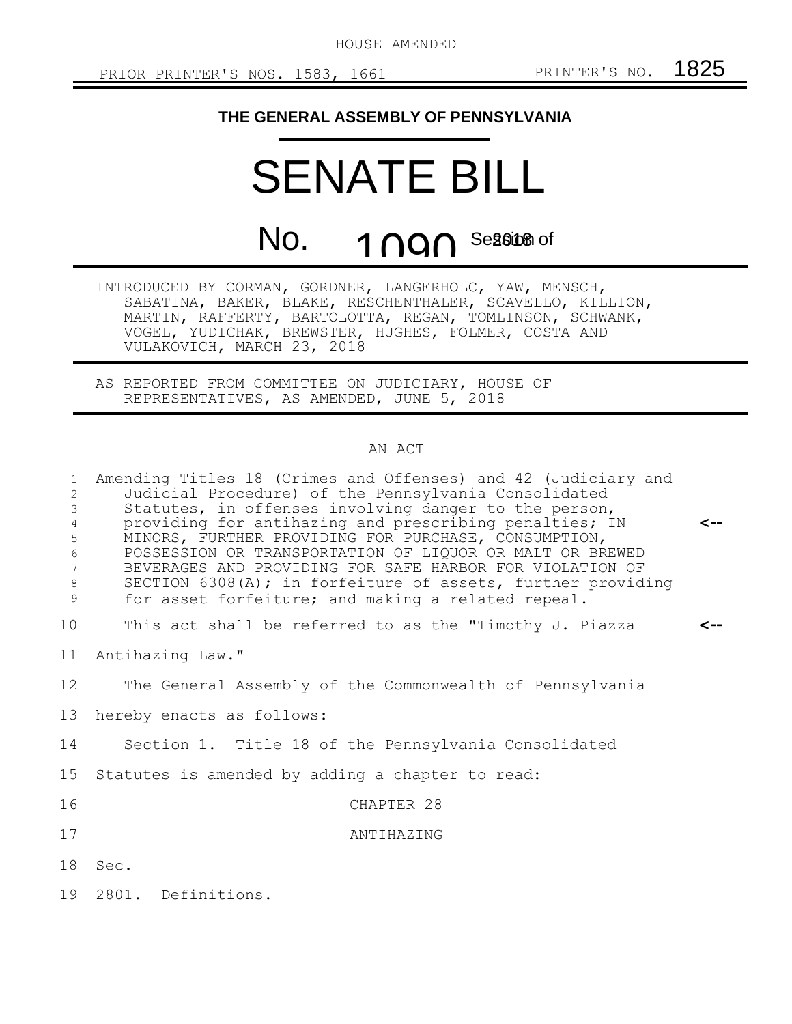## **THE GENERAL ASSEMBLY OF PENNSYLVANIA**

## SENATE BILL

No. **1 NON** Se<mark>ssite</mark> of

INTRODUCED BY CORMAN, GORDNER, LANGERHOLC, YAW, MENSCH, SABATINA, BAKER, BLAKE, RESCHENTHALER, SCAVELLO, KILLION, MARTIN, RAFFERTY, BARTOLOTTA, REGAN, TOMLINSON, SCHWANK, VOGEL, YUDICHAK, BREWSTER, HUGHES, FOLMER, COSTA AND VULAKOVICH, MARCH 23, 2018

AS REPORTED FROM COMMITTEE ON JUDICIARY, HOUSE OF REPRESENTATIVES, AS AMENDED, JUNE 5, 2018

## AN ACT

| $\mathbf{1}$<br>$\overline{2}$<br>3<br>$\overline{4}$<br>5<br>6<br>7<br>8<br>9 | Amending Titles 18 (Crimes and Offenses) and 42 (Judiciary and<br>Judicial Procedure) of the Pennsylvania Consolidated<br>Statutes, in offenses involving danger to the person,<br>providing for antihazing and prescribing penalties; IN<br>MINORS, FURTHER PROVIDING FOR PURCHASE, CONSUMPTION,<br>POSSESSION OR TRANSPORTATION OF LIQUOR OR MALT OR BREWED<br>BEVERAGES AND PROVIDING FOR SAFE HARBOR FOR VIOLATION OF<br>SECTION 6308(A); in forfeiture of assets, further providing<br>for asset forfeiture; and making a related repeal. | <-- |
|--------------------------------------------------------------------------------|------------------------------------------------------------------------------------------------------------------------------------------------------------------------------------------------------------------------------------------------------------------------------------------------------------------------------------------------------------------------------------------------------------------------------------------------------------------------------------------------------------------------------------------------|-----|
| 10                                                                             | This act shall be referred to as the "Timothy J. Piazza                                                                                                                                                                                                                                                                                                                                                                                                                                                                                        |     |
| 11                                                                             | Antihazing Law."                                                                                                                                                                                                                                                                                                                                                                                                                                                                                                                               |     |
| 12 <sup>°</sup>                                                                | The General Assembly of the Commonwealth of Pennsylvania                                                                                                                                                                                                                                                                                                                                                                                                                                                                                       |     |
| 13                                                                             | hereby enacts as follows:                                                                                                                                                                                                                                                                                                                                                                                                                                                                                                                      |     |
| 14                                                                             | Section 1. Title 18 of the Pennsylvania Consolidated                                                                                                                                                                                                                                                                                                                                                                                                                                                                                           |     |
| 15                                                                             | Statutes is amended by adding a chapter to read:                                                                                                                                                                                                                                                                                                                                                                                                                                                                                               |     |
| 16                                                                             | CHAPTER 28                                                                                                                                                                                                                                                                                                                                                                                                                                                                                                                                     |     |
| 17                                                                             | ANTIHAZING                                                                                                                                                                                                                                                                                                                                                                                                                                                                                                                                     |     |
| 18                                                                             | Sec.                                                                                                                                                                                                                                                                                                                                                                                                                                                                                                                                           |     |
| 19                                                                             | 2801. Definitions.                                                                                                                                                                                                                                                                                                                                                                                                                                                                                                                             |     |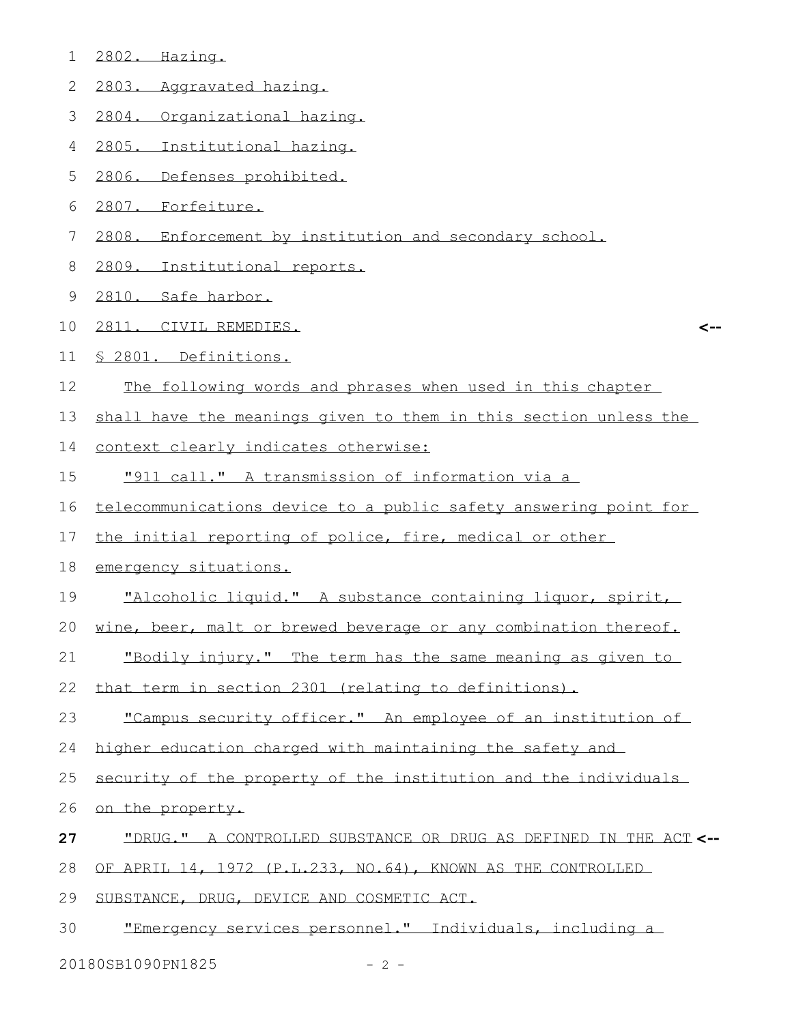- 2802. Hazing.
- 2803. Aggravated hazing.
- 2804. Organizational hazing.
- 2805. Institutional hazing.
- 2806. Defenses prohibited.
- 2807. Forfeiture.
- 2808. Enforcement by institution and secondary school.
- 2809. Institutional reports.
- 2810. Safe harbor.
- 2811. CIVIL REMEDIES.
- § 2801. Definitions.
- The following words and phrases when used in this chapter
- shall have the meanings given to them in this section unless the

**<--**

- context clearly indicates otherwise:
- "911 call." A transmission of information via a
- telecommunications device to a public safety answering point for
- the initial reporting of police, fire, medical or other
- emergency situations.
- "Alcoholic liquid." A substance containing liquor, spirit,
- wine, beer, malt or brewed beverage or any combination thereof.
- "Bodily injury." The term has the same meaning as given to
- that term in section 2301 (relating to definitions).
- 23 "Campus security officer." An employee of an institution of
- higher education charged with maintaining the safety and
- security of the property of the institution and the individuals
- on the property.
- "DRUG." A CONTROLLED SUBSTANCE OR DRUG AS DEFINED IN THE ACT **<--**
- OF APRIL 14, 1972 (P.L.233, NO.64), KNOWN AS THE CONTROLLED
- SUBSTANCE, DRUG, DEVICE AND COSMETIC ACT.
- "Emergency services personnel." Individuals, including a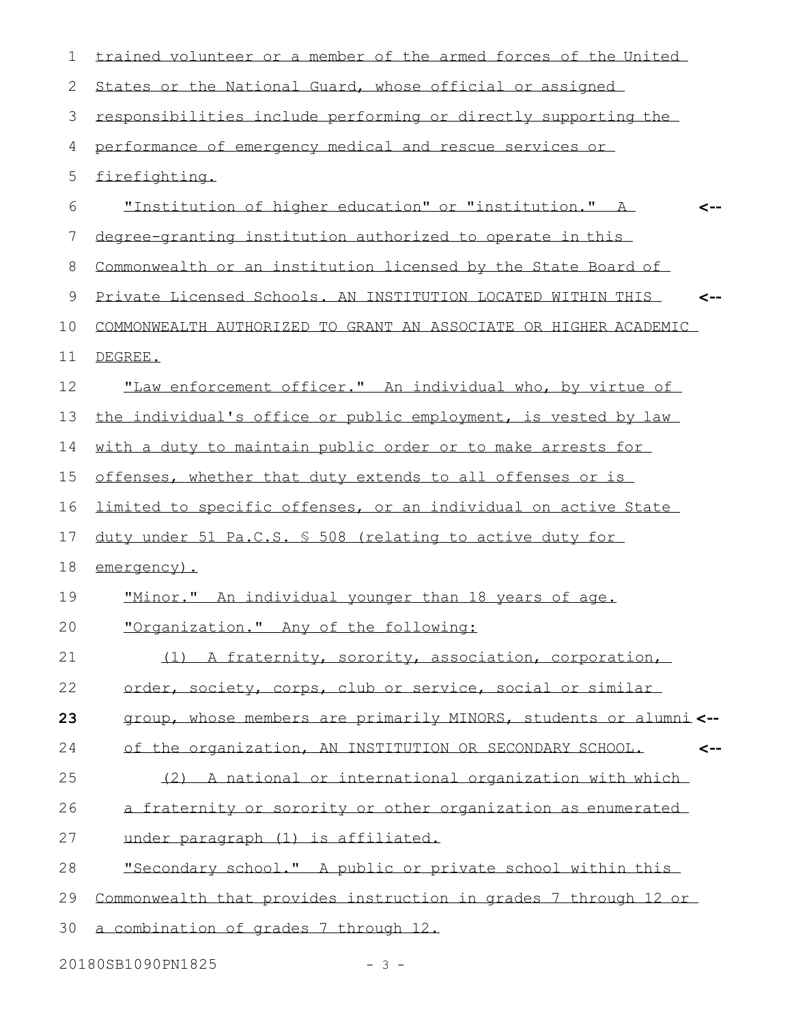| 1  | trained volunteer or a member of the armed forces of the United     |
|----|---------------------------------------------------------------------|
| 2  | States or the National Guard, whose official or assigned            |
| 3  | responsibilities include performing or directly supporting the      |
| 4  | performance of emergency medical and rescue services or             |
| 5  | firefighting.                                                       |
| 6  | "Institution of higher education" or "institution." A               |
| 7  | degree-granting institution authorized to operate in this           |
| 8  | Commonwealth or an institution licensed by the State Board of       |
| 9  | Private Licensed Schools, AN INSTITUTION LOCATED WITHIN THIS<br><-- |
| 10 | COMMONWEALTH AUTHORIZED TO GRANT AN ASSOCIATE OR HIGHER ACADEMIC    |
| 11 | DEGREE.                                                             |
| 12 | "Law enforcement officer," An individual who, by virtue of          |
| 13 | the individual's office or public employment, is vested by law      |
| 14 | with a duty to maintain public order or to make arrests for         |
| 15 | offenses, whether that duty extends to all offenses or is           |
| 16 | limited to specific offenses, or an individual on active State      |
| 17 | duty under 51 Pa.C.S. \$ 508 (relating to active duty for           |
| 18 | emergency).                                                         |
| 19 | "Minor." An individual younger than 18 years of age.                |
| 20 | "Organization." Any of the following:                               |
| 21 | (1) A fraternity, sorority, association, corporation,               |
| 22 | order, society, corps, club or service, social or similar           |
| 23 | group, whose members are primarily MINORS, students or alumni <--   |
| 24 | of the organization, AN INSTITUTION OR SECONDARY SCHOOL.<br><--     |
| 25 | (2) A national or international organization with which             |
| 26 | a fraternity or sorority or other organization as enumerated        |
| 27 | under paragraph (1) is affiliated.                                  |
| 28 | "Secondary school." A public or private school within this          |
| 29 | Commonwealth that provides instruction in grades 7 through 12 or    |
| 30 | a combination of grades 7 through 12.                               |
|    |                                                                     |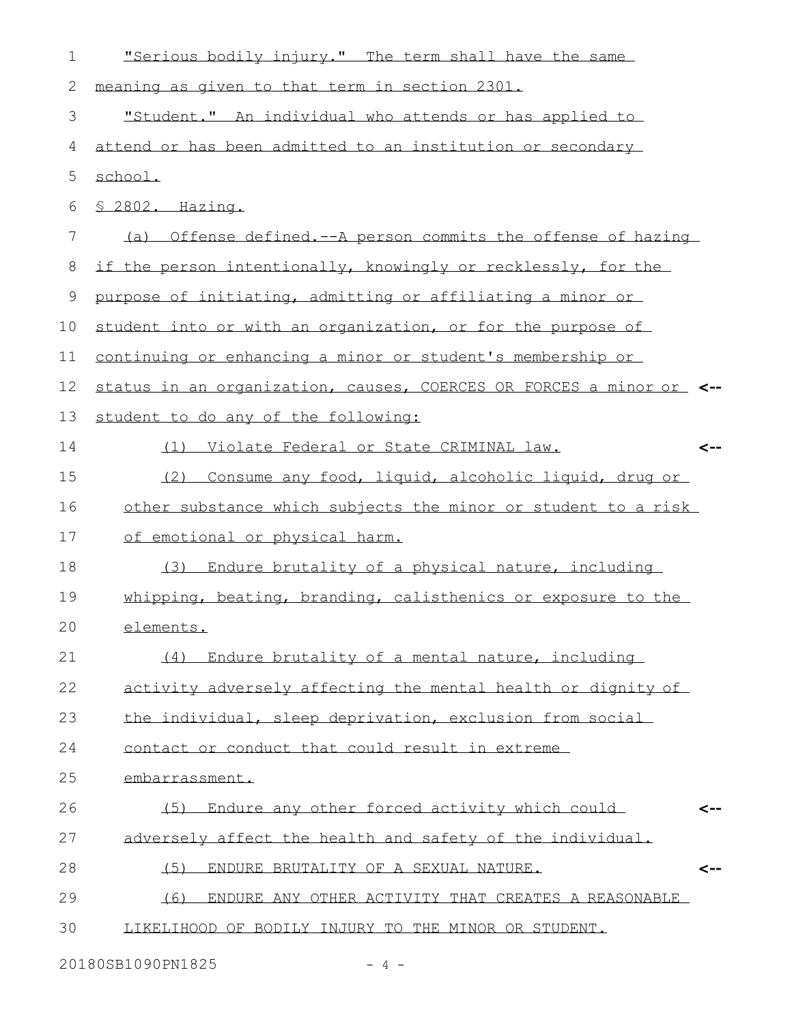| $\mathbf 1$ | "Serious bodily injury." The term shall have the same               |
|-------------|---------------------------------------------------------------------|
| 2           | meaning as given to that term in section 2301.                      |
| 3           | "Student." An individual who attends or has applied to              |
| 4           | attend or has been admitted to an institution or secondary          |
| 5           | school.                                                             |
| 6           | § 2802. Hazing.                                                     |
| 7           | (a) Offense defined.--A person commits the offense of hazing        |
| 8           | if the person intentionally, knowingly or recklessly, for the       |
| 9           | purpose of initiating, admitting or affiliating a minor or          |
| 10          | student into or with an organization, or for the purpose of         |
| 11          | continuing or enhancing a minor or student's membership or          |
| 12          | status in an organization, causes, COERCES OR FORCES a minor or <-- |
| 13          | student to do any of the following:                                 |
| 14          | (1) Violate Federal or State CRIMINAL law.<br><--                   |
| 15          | (2) Consume any food, liquid, alcoholic liquid, drug or             |
| 16          | other substance which subjects the minor or student to a risk       |
| 17          | of emotional or physical harm.                                      |
| 18          | (3) Endure brutality of a physical nature, including                |
| 19          | whipping, beating, branding, calisthenics or exposure to the        |
| 20          | elements.                                                           |
| 21          | (4) Endure brutality of a mental nature, including                  |
| 22          | activity adversely affecting the mental health or dignity of        |
| 23          | the individual, sleep deprivation, exclusion from social            |
| 24          | contact or conduct that could result in extreme                     |
| 25          | embarrassment.                                                      |
| 26          | (5) Endure any other forced activity which could                    |
| 27          | adversely affect the health and safety of the individual.           |
| 28          | (5)<br>ENDURE BRUTALITY OF A SEXUAL NATURE.                         |
| 29          | ENDURE ANY OTHER ACTIVITY THAT CREATES A REASONABLE<br>(6)          |
| 30          | LIKELIHOOD OF BODILY INJURY TO THE MINOR OR STUDENT.                |
|             |                                                                     |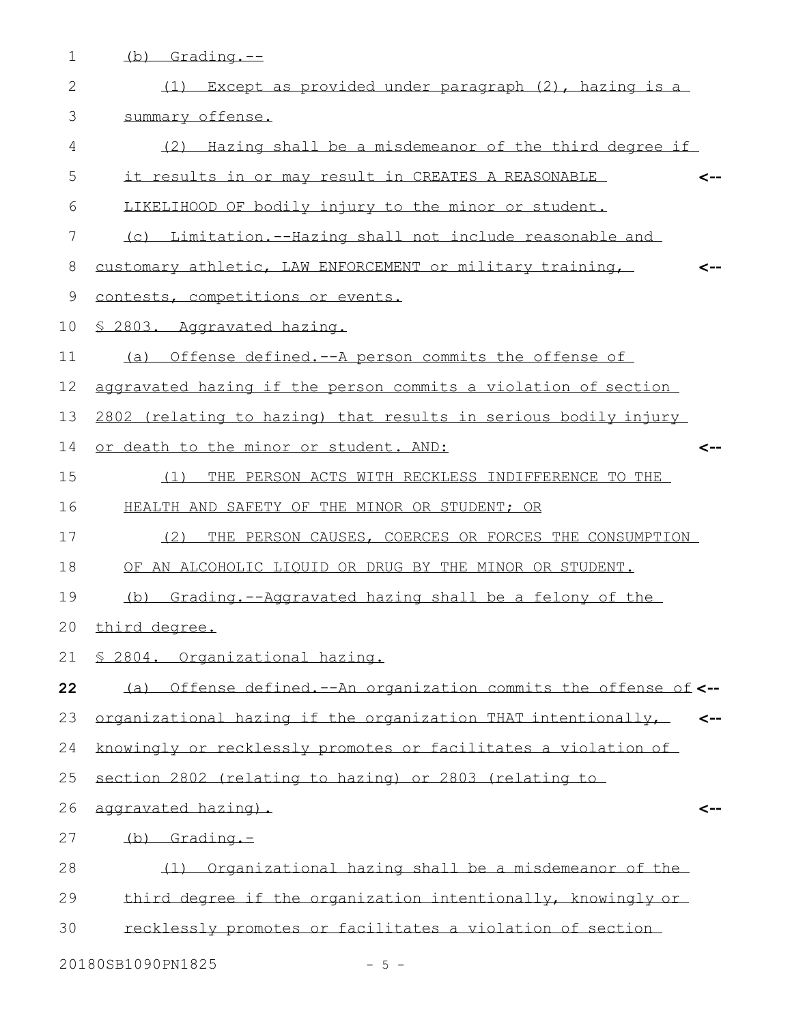| $\mathbf 1$    | $(b)$ Grading. $-$                                                            |
|----------------|-------------------------------------------------------------------------------|
| 2              | (1) Except as provided under paragraph (2), hazing is a                       |
| 3              | summary offense.                                                              |
| 4              | (2) Hazing shall be a misdemeanor of the third degree if                      |
| 5              | it results in or may result in CREATES A REASONABLE<br><--                    |
| 6              | LIKELIHOOD OF bodily injury to the minor or student.                          |
| $\overline{7}$ | (c) Limitation.--Hazing shall not include reasonable and                      |
| 8              | customary athletic, LAW ENFORCEMENT or military training,                     |
| 9              | contests, competitions or events.                                             |
| 10             | \$ 2803. Aggravated hazing.                                                   |
| 11             | (a) Offense defined, -- A person commits the offense of                       |
| 12             | aggravated hazing if the person commits a violation of section                |
| 13             | 2802 (relating to hazing) that results in serious bodily injury               |
| 14             | or death to the minor or student. AND:<br><--                                 |
| 15             | THE PERSON ACTS WITH RECKLESS INDIFFERENCE TO THE<br>(1)                      |
| 16             | HEALTH AND SAFETY OF THE MINOR OR STUDENT; OR                                 |
| 17             | (2) THE PERSON CAUSES, COERCES OR FORCES THE CONSUMPTION                      |
| 18             | OF AN ALCOHOLIC LIQUID OR DRUG BY THE MINOR OR STUDENT.                       |
| 19             | (b) Grading.--Aggravated hazing shall be a felony of the                      |
|                | 20 third degree.                                                              |
| 21             | § 2804. Organizational hazing.                                                |
| 22             | (a) Offense defined. -- An organization commits the offense of <--            |
| 23             | organizational hazing if the organization THAT intentionally,<br>$\leftarrow$ |
| 24             | knowingly or recklessly promotes or facilitates a violation of                |
| 25             | section 2802 (relating to hazing) or 2803 (relating to                        |
| 26             | aggravated hazing).<br><--                                                    |
| 27             | $(b)$ Grading. $-$                                                            |
| 28             | (1) Organizational hazing shall be a misdemeanor of the                       |
| 29             | third degree if the organization intentionally, knowingly or                  |
| 30             | recklessly promotes or facilitates a violation of section                     |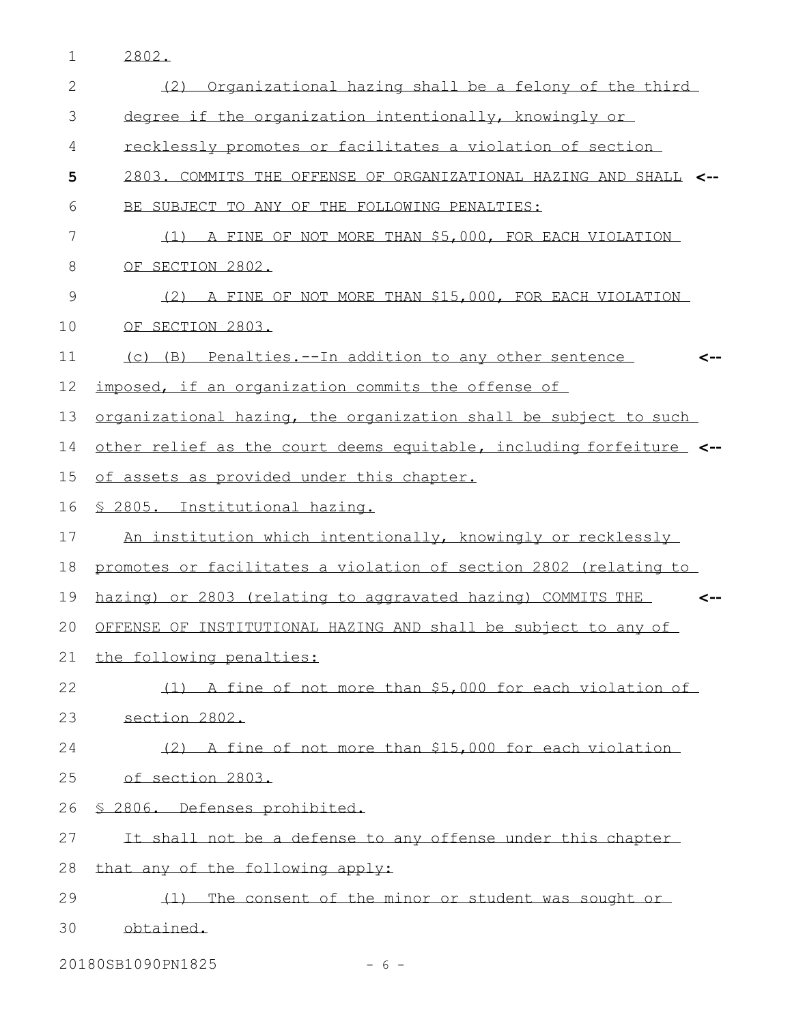2802.

| $\mathbf{2}$ | (2) Organizational hazing shall be a felony of the third             |
|--------------|----------------------------------------------------------------------|
| 3            | degree if the organization intentionally, knowingly or               |
| 4            | recklessly promotes or facilitates a violation of section            |
| 5            | 2803. COMMITS THE OFFENSE OF ORGANIZATIONAL HAZING AND SHALL <--     |
| 6            | BE SUBJECT TO ANY OF THE FOLLOWING PENALTIES:                        |
| 7            | (1) A FINE OF NOT MORE THAN \$5,000, FOR EACH VIOLATION              |
| 8            | OF SECTION 2802.                                                     |
| 9            | (2) A FINE OF NOT MORE THAN \$15,000, FOR EACH VIOLATION             |
| 10           | OF SECTION 2803.                                                     |
| 11           | (c) (B) Penalties.--In addition to any other sentence<br><--         |
| 12           | imposed, if an organization commits the offense of                   |
| 13           | organizational hazing, the organization shall be subject to such     |
| 14           | other relief as the court deems equitable, including forfeiture_ <-- |
| 15           | of assets as provided under this chapter.                            |
| 16           | \$ 2805. Institutional hazing.                                       |
| 17           | An institution which intentionally, knowingly or recklessly          |
| 18           | promotes or facilitates a violation of section 2802 (relating to     |
| 19           | hazing) or 2803 (relating to aggravated hazing) COMMITS THE<br><--   |
| 20           | OFFENSE OF INSTITUTIONAL HAZING AND shall be subject to any of       |
| 21           | the following penalties:                                             |
| 22           | (1) A fine of not more than \$5,000 for each violation of            |
| 23           | section 2802.                                                        |
| 24           | (2) A fine of not more than \$15,000 for each violation              |
| 25           | of section 2803.                                                     |
| 26           | § 2806. Defenses prohibited.                                         |
| 27           | It shall not be a defense to any offense under this chapter          |
| 28           | that any of the following apply:                                     |
| 29           | (1) The consent of the minor or student was sought or                |
| 30           | obtained.                                                            |

20180SB1090PN1825 - 6 -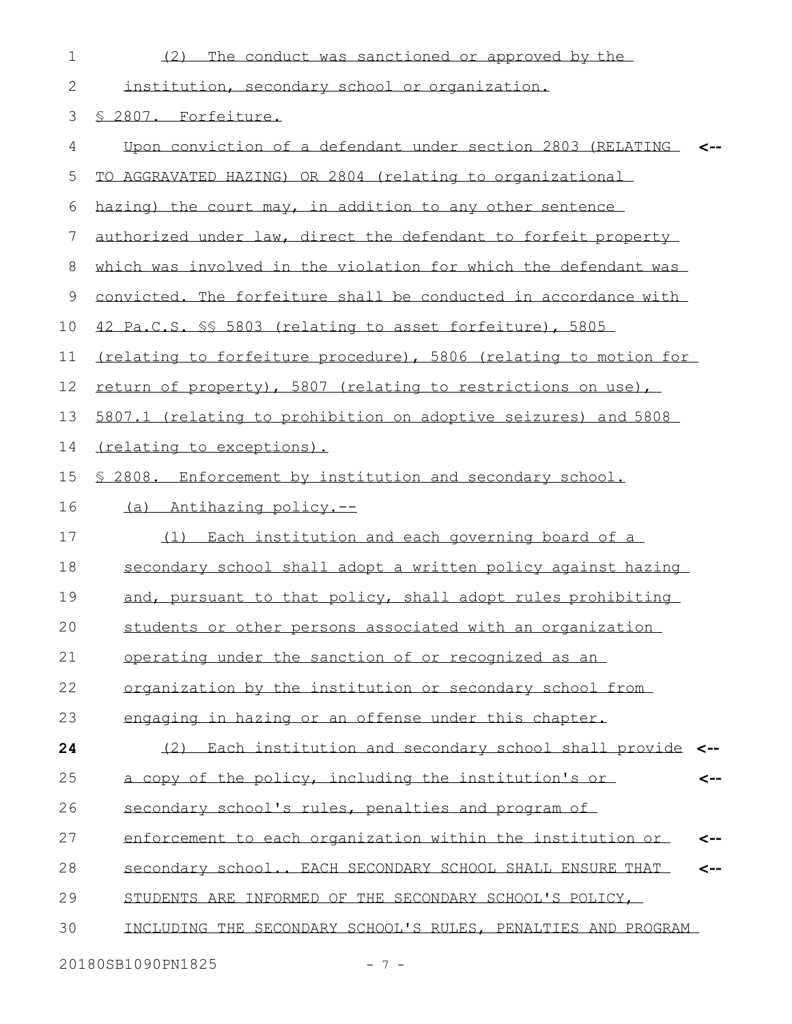| $\mathbf 1$  | The conduct was sanctioned or approved by the<br>(2)              |
|--------------|-------------------------------------------------------------------|
| $\mathbf{2}$ | institution, secondary school or organization.                    |
| 3            | § 2807. Forfeiture.                                               |
| 4            | Upon conviction of a defendant under section 2803 (RELATING <-    |
| 5            | TO AGGRAVATED HAZING) OR 2804 (relating to organizational         |
| 6            | hazing) the court may, in addition to any other sentence          |
| 7            | authorized under law, direct the defendant to forfeit property    |
| 8            | which was involved in the violation for which the defendant was   |
| 9            | convicted. The forfeiture shall be conducted in accordance with   |
| 10           | 42 Pa.C.S. \$\$ 5803 (relating to asset forfeiture), 5805         |
| 11           | (relating to forfeiture procedure), 5806 (relating to motion for  |
| 12           | return of property), 5807 (relating to restrictions on use),      |
| 13           | 5807.1 (relating to prohibition on adoptive seizures) and 5808    |
| 14           | (relating to exceptions).                                         |
| 15           | \$ 2808. Enforcement by institution and secondary school.         |
| 16           | (a) Antihazing policy.--                                          |
| 17           | (1) Each institution and each governing board of a                |
| 18           | secondary school shall adopt a written policy against hazing      |
| 19           | and, pursuant to that policy, shall adopt rules prohibiting       |
| 20           | students or other persons associated with an organization         |
| 21           | operating under the sanction of or recognized as an               |
| 22           | organization by the institution or secondary school from          |
| 23           | engaging in hazing or an offense under this chapter.              |
| 24           | (2) Each institution and secondary school shall provide <--       |
| 25           | a copy of the policy, including the institution's or<br><--       |
| 26           | secondary school's rules, penalties and program of                |
| 27           | enforcement to each organization within the institution or<br><-- |
| 28           | secondary school EACH SECONDARY SCHOOL SHALL ENSURE THAT<br><--   |
| 29           | STUDENTS ARE INFORMED OF THE SECONDARY SCHOOL'S POLICY,           |
| 30           | INCLUDING THE SECONDARY SCHOOL'S RULES, PENALTIES AND PROGRAM     |
|              |                                                                   |

20180SB1090PN1825 - 7 -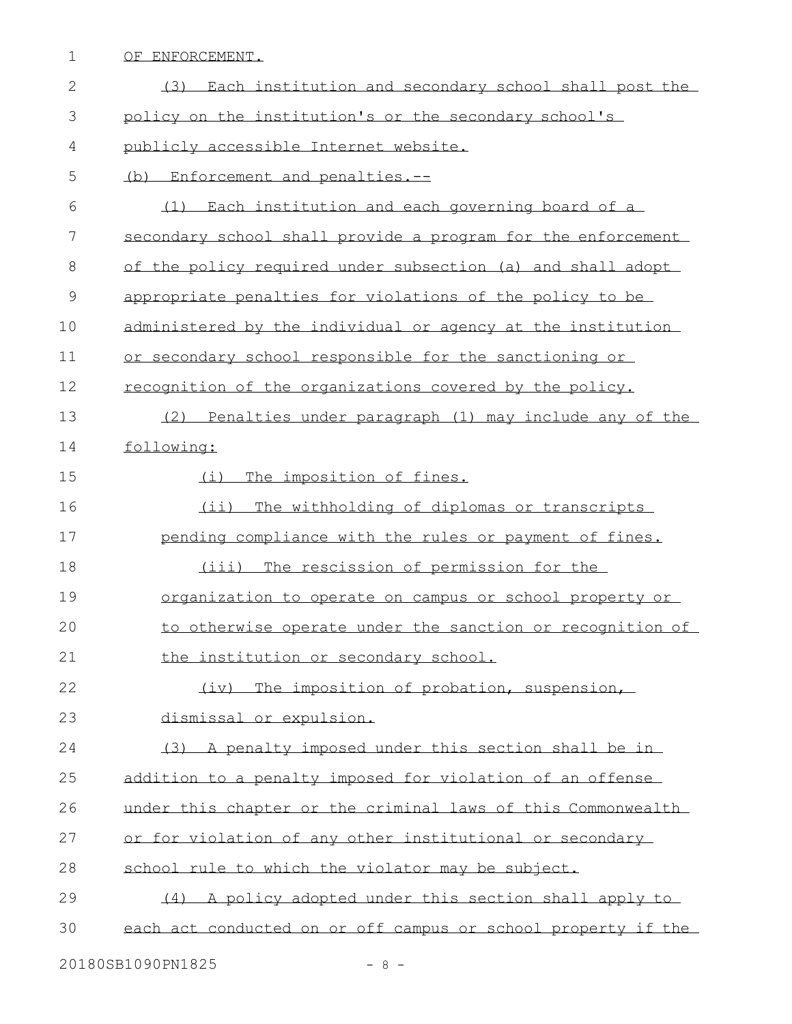OF ENFORCEMENT. (3) Each institution and secondary school shall post the 3 bolicy on the institution's or the secondary school's publicly accessible Internet website. (b) Enforcement and penalties.-- (1) Each institution and each governing board of a secondary school shall provide a program for the enforcement 8 of the policy required under subsection (a) and shall adopt appropriate penalties for violations of the policy to be administered by the individual or agency at the institution or secondary school responsible for the sanctioning or recognition of the organizations covered by the policy. (2) Penalties under paragraph (1) may include any of the following: (i) The imposition of fines. (ii) The withholding of diplomas or transcripts 17 pending compliance with the rules or payment of fines. (iii) The rescission of permission for the organization to operate on campus or school property or to otherwise operate under the sanction or recognition of 21 the institution or secondary school. (iv) The imposition of probation, suspension, dismissal or expulsion. (3) A penalty imposed under this section shall be in addition to a penalty imposed for violation of an offense under this chapter or the criminal laws of this Commonwealth or for violation of any other institutional or secondary school rule to which the violator may be subject. (4) A policy adopted under this section shall apply to each act conducted on or off campus or school property if the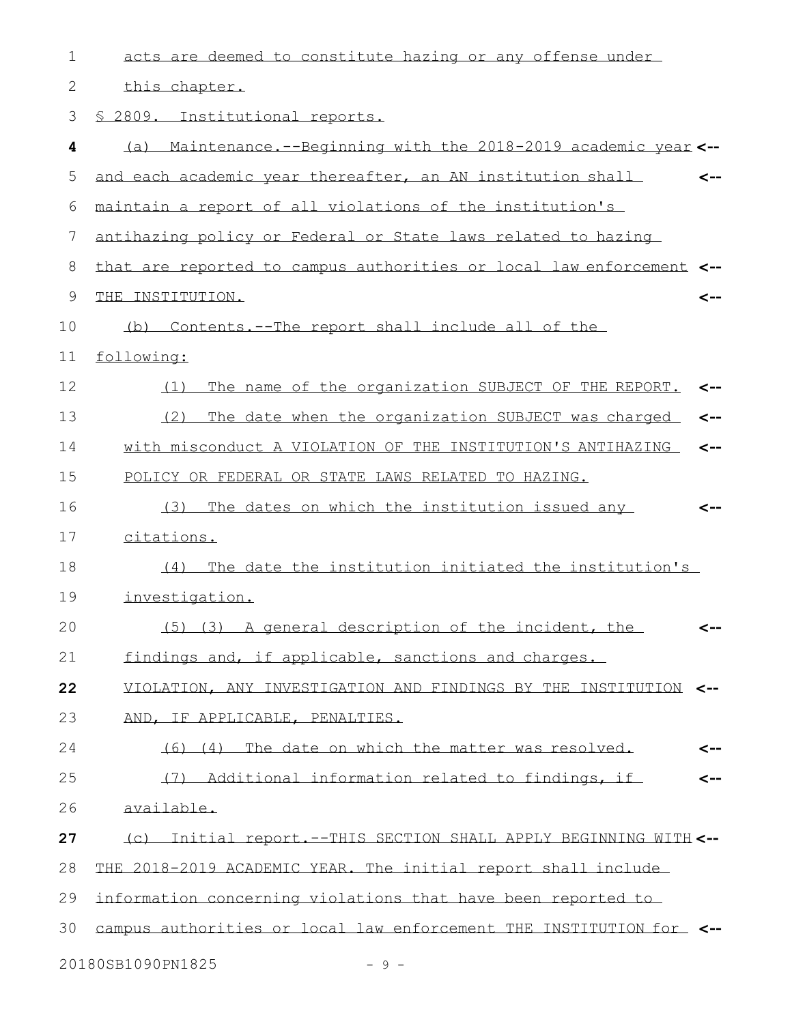| $\mathbf 1$ | acts are deemed to constitute hazing or any offense under            |
|-------------|----------------------------------------------------------------------|
| 2           | this chapter.                                                        |
| 3           | § 2809. Institutional reports.                                       |
| 4           | (a) Maintenance.--Beginning with the 2018-2019 academic year <--     |
| 5           | and each academic year thereafter, an AN institution shall<br><--    |
| 6           | maintain a report of all violations of the institution's             |
| 7           | antihazing policy or Federal or State laws related to hazing         |
| 8           | that are reported to campus authorities or local law enforcement <-- |
| 9           | THE INSTITUTION.<br><--                                              |
| 10          | (b) Contents.--The report shall include all of the                   |
| 11          | following:                                                           |
| 12          | The name of the organization SUBJECT OF THE REPORT.<br>(1)<br><--    |
| 13          | (2) The date when the organization SUBJECT was charged<br><--        |
| 14          | with misconduct A VIOLATION OF THE INSTITUTION'S ANTIHAZING<br><--   |
| 15          | POLICY OR FEDERAL OR STATE LAWS RELATED TO HAZING.                   |
| 16          | (3) The dates on which the institution issued any<br><--             |
| 17          | citations.                                                           |
| 18          | (4) The date the institution initiated the institution's             |
| 19          | investigation.                                                       |
| 20          | (5) (3) A general description of the incident, the<br>$\leftarrow$   |
| 21          | findings and, if applicable, sanctions and charges.                  |
| 22          | VIOLATION, ANY INVESTIGATION AND FINDINGS BY THE INSTITUTION <--     |
| 23          | AND, IF APPLICABLE, PENALTIES.                                       |
| 24          | (6) (4) The date on which the matter was resolved.<br>$\leftarrow$   |
| 25          | (7) Additional information related to findings, if<br><--            |
| 26          | available.                                                           |
| 27          | (c) Initial report. -- THIS SECTION SHALL APPLY BEGINNING WITH <--   |
| 28          | THE 2018-2019 ACADEMIC YEAR. The initial report shall include        |
| 29          | information concerning violations that have been reported to         |
| 30          | campus authorities or local law enforcement THE INSTITUTION for <--  |
|             | 20180SB1090PN1825<br>$-9 -$                                          |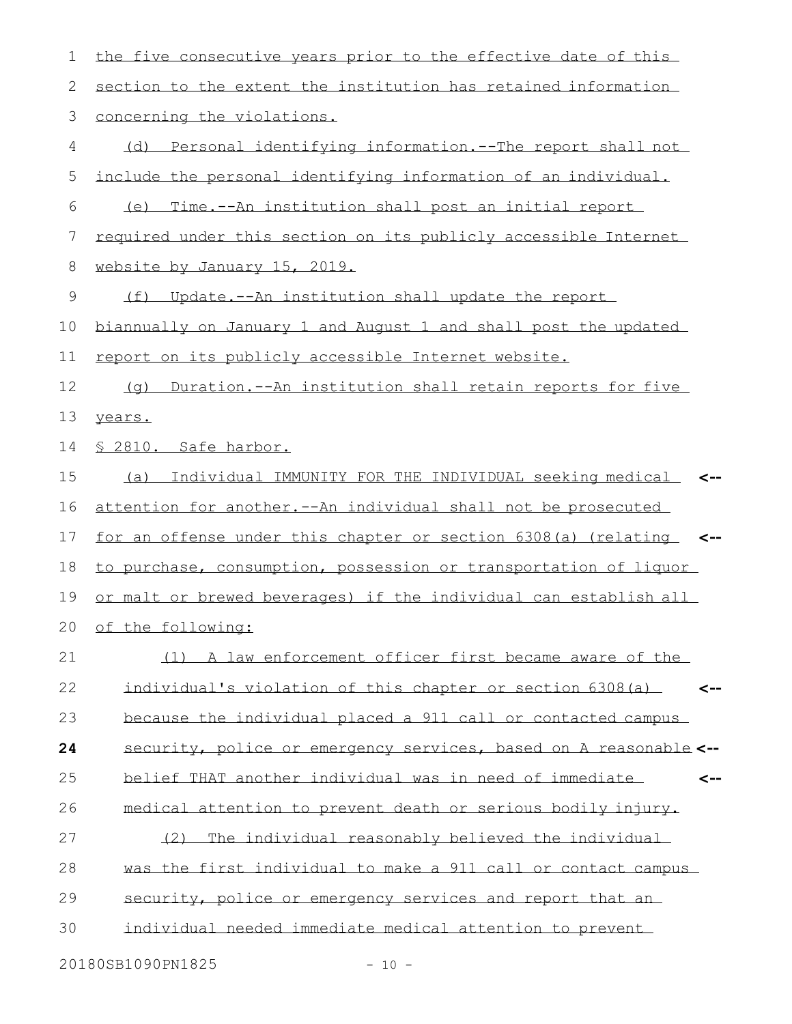| 1  | the five consecutive years prior to the effective date of this            |
|----|---------------------------------------------------------------------------|
| 2  | section to the extent the institution has retained information            |
| 3  | concerning the violations.                                                |
| 4  | (d) Personal identifying information.--The report shall not               |
| 5  | include the personal identifying information of an individual.            |
| 6  | (e) Time.--An institution shall post an initial report                    |
| 7  | required under this section on its publicly accessible Internet           |
| 8  | website by January 15, 2019.                                              |
| 9  | (f) Update.--An institution shall update the report                       |
| 10 | biannually on January 1 and August 1 and shall post the updated           |
| 11 | report on its publicly accessible Internet website.                       |
| 12 | (q) Duration.--An institution shall retain reports for five               |
| 13 | years.                                                                    |
| 14 | \$ 2810. Safe harbor.                                                     |
| 15 | (a) Individual IMMUNITY FOR THE INDIVIDUAL seeking medical <-             |
| 16 | attention for another.--An individual shall not be prosecuted             |
| 17 | for an offense under this chapter or section 6308(a) (relating <--        |
| 18 | to purchase, consumption, possession or transportation of liquor          |
| 19 | or malt or brewed beverages) if the individual can establish all          |
|    | 20 of the following:                                                      |
| 21 | (1) A law enforcement officer first became aware of the                   |
| 22 | individual's violation of this chapter or section 6308(a)<br>$\leftarrow$ |
| 23 | because the individual placed a 911 call or contacted campus              |
| 24 | security, police or emergency services, based on A reasonable <--         |
| 25 | belief THAT another individual was in need of immediate<br><--            |
| 26 | medical attention to prevent death or serious bodily injury.              |
| 27 | (2) The individual reasonably believed the individual                     |
| 28 | was the first individual to make a 911 call or contact campus             |
| 29 | security, police or emergency services and report that an                 |
| 30 | individual needed immediate medical attention to prevent                  |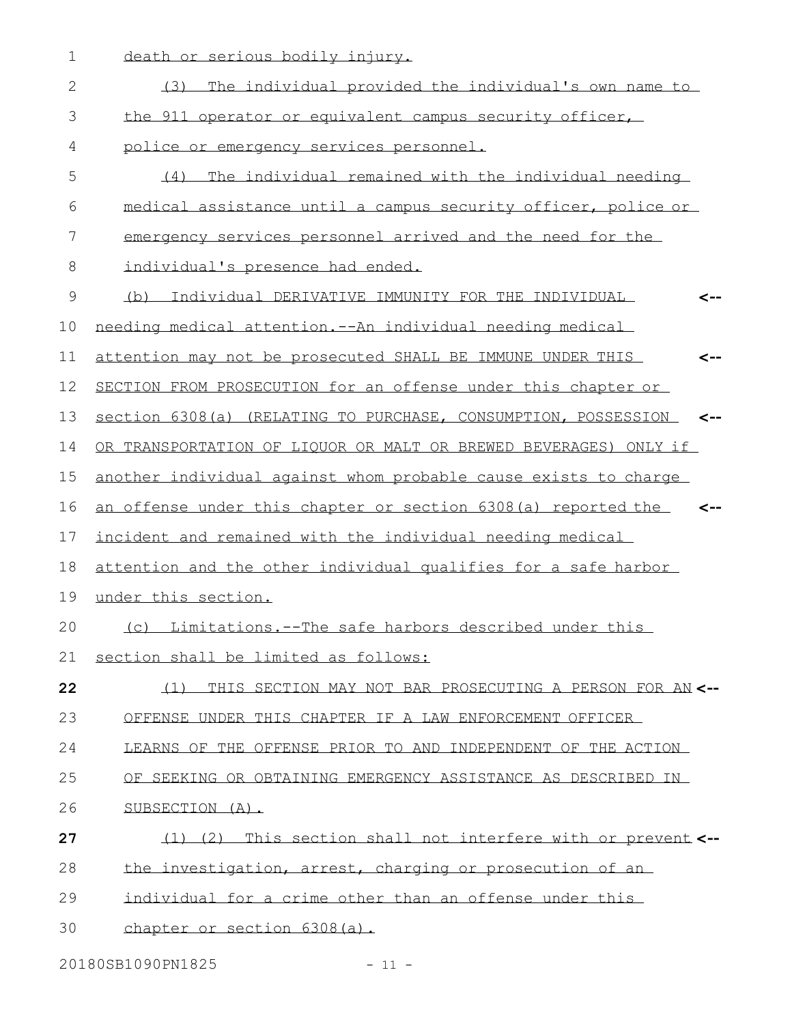death or serious bodily injury.

| $\mathbf{2}$ | (3) The individual provided the individual's own name to                       |
|--------------|--------------------------------------------------------------------------------|
| 3            | the 911 operator or equivalent campus security officer,                        |
| 4            | police or emergency services personnel.                                        |
| 5            | (4) The individual remained with the individual needing                        |
| 6            | medical assistance until a campus security officer, police or                  |
| 7            | emergency services personnel arrived and the need for the                      |
| $8\,$        | individual's presence had ended.                                               |
| $\mathsf{S}$ | (b) Individual DERIVATIVE IMMUNITY FOR THE INDIVIDUAL                          |
| 10           | needing medical attention, -- An individual needing medical                    |
| 11           | attention may not be prosecuted SHALL BE IMMUNE UNDER THIS<br><--              |
| 12           | SECTION FROM PROSECUTION for an offense under this chapter or                  |
| 13           | section 6308(a) (RELATING TO PURCHASE, CONSUMPTION, POSSESSION<br>$\leftarrow$ |
| 14           | OR TRANSPORTATION OF LIQUOR OR MALT OR BREWED BEVERAGES) ONLY if               |
| 15           | another individual against whom probable cause exists to charge                |
| 16           | an offense under this chapter or section 6308(a) reported the                  |
| 17           | incident and remained with the individual needing medical                      |
| 18           | attention and the other individual qualifies for a safe harbor                 |
| 19           | under this section.                                                            |
| 20           | (c) Limitations.--The safe harbors described under this                        |
| 21           | section shall be limited as follows:                                           |
| 22           | (1) THIS SECTION MAY NOT BAR PROSECUTING A PERSON FOR AN <--                   |
| 23           | OFFENSE UNDER THIS CHAPTER IF A LAW ENFORCEMENT OFFICER                        |
| 24           | LEARNS OF THE OFFENSE PRIOR TO AND INDEPENDENT OF THE ACTION                   |
| 25           | OF SEEKING OR OBTAINING EMERGENCY ASSISTANCE AS DESCRIBED IN                   |
| 26           | SUBSECTION (A).                                                                |
| 27           | (1) (2) This section shall not interfere with or prevent <--                   |
| 28           | the investigation, arrest, charging or prosecution of an                       |
| 29           | individual for a crime other than an offense under this                        |
| 30           | chapter or section 6308(a).                                                    |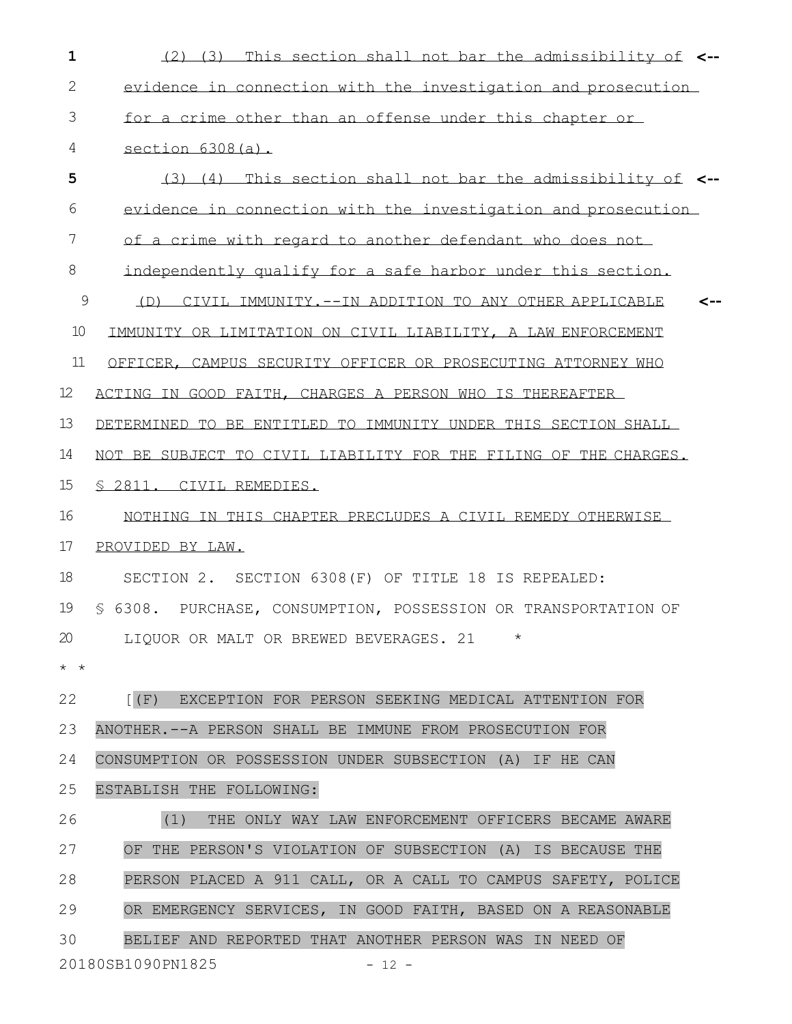| $\mathbf{1}$      | (2) (3) This section shall not bar the admissibility of <--      |
|-------------------|------------------------------------------------------------------|
| 2                 | evidence in connection with the investigation and prosecution    |
| 3                 | for a crime other than an offense under this chapter or          |
| 4                 | section $6308(a)$ .                                              |
| 5                 | (3) (4) This section shall not bar the admissibility of <--      |
| 6                 | evidence in connection with the investigation and prosecution    |
| 7                 | of a crime with regard to another defendant who does not         |
| 8                 | independently qualify for a safe harbor under this section.      |
| $\mathsf 9$       | (D) CIVIL IMMUNITY. --IN ADDITION TO ANY OTHER APPLICABLE        |
| 10                | IMMUNITY OR LIMITATION ON CIVIL LIABILITY, A LAW ENFORCEMENT     |
| 11                | OFFICER, CAMPUS SECURITY OFFICER OR PROSECUTING ATTORNEY WHO     |
| $12 \overline{ }$ | ACTING IN GOOD FAITH, CHARGES A PERSON WHO IS THEREAFTER         |
| 13                | DETERMINED TO BE ENTITLED TO IMMUNITY UNDER THIS SECTION SHALL   |
| 14                | NOT BE SUBJECT TO CIVIL LIABILITY FOR THE FILING OF THE CHARGES. |
| $15\,$            | <u>S 2811. CIVIL REMEDIES.</u>                                   |
| 16                | NOTHING IN THIS CHAPTER PRECLUDES A CIVIL REMEDY OTHERWISE       |
| 17                | PROVIDED BY LAW.                                                 |
| 18                | SECTION 2. SECTION 6308 (F) OF TITLE 18 IS REPEALED:             |
| 19                | § 6308. PURCHASE, CONSUMPTION, POSSESSION OR TRANSPORTATION OF   |
| 20                | LIQUOR OR MALT OR BREWED BEVERAGES. 21<br>$^\star$               |
| $\star$ $\star$   |                                                                  |
| 22                | [(F) EXCEPTION FOR PERSON SEEKING MEDICAL ATTENTION FOR          |
| 23                | ANOTHER. -- A PERSON SHALL BE IMMUNE FROM PROSECUTION FOR        |
| 24                | CONSUMPTION OR POSSESSION UNDER SUBSECTION (A) IF HE CAN         |
| 25                | ESTABLISH THE FOLLOWING:                                         |
| 26                | (1)<br>THE ONLY WAY LAW ENFORCEMENT OFFICERS BECAME AWARE        |
| 27                | OF THE PERSON'S VIOLATION OF SUBSECTION (A) IS BECAUSE THE       |
| 28                | PERSON PLACED A 911 CALL, OR A CALL TO CAMPUS SAFETY, POLICE     |
| 29                | OR EMERGENCY SERVICES, IN GOOD FAITH, BASED ON A REASONABLE      |
| 30                | BELIEF AND REPORTED THAT ANOTHER PERSON WAS IN NEED OF           |
|                   | 20180SB1090PN1825<br>$-12 -$                                     |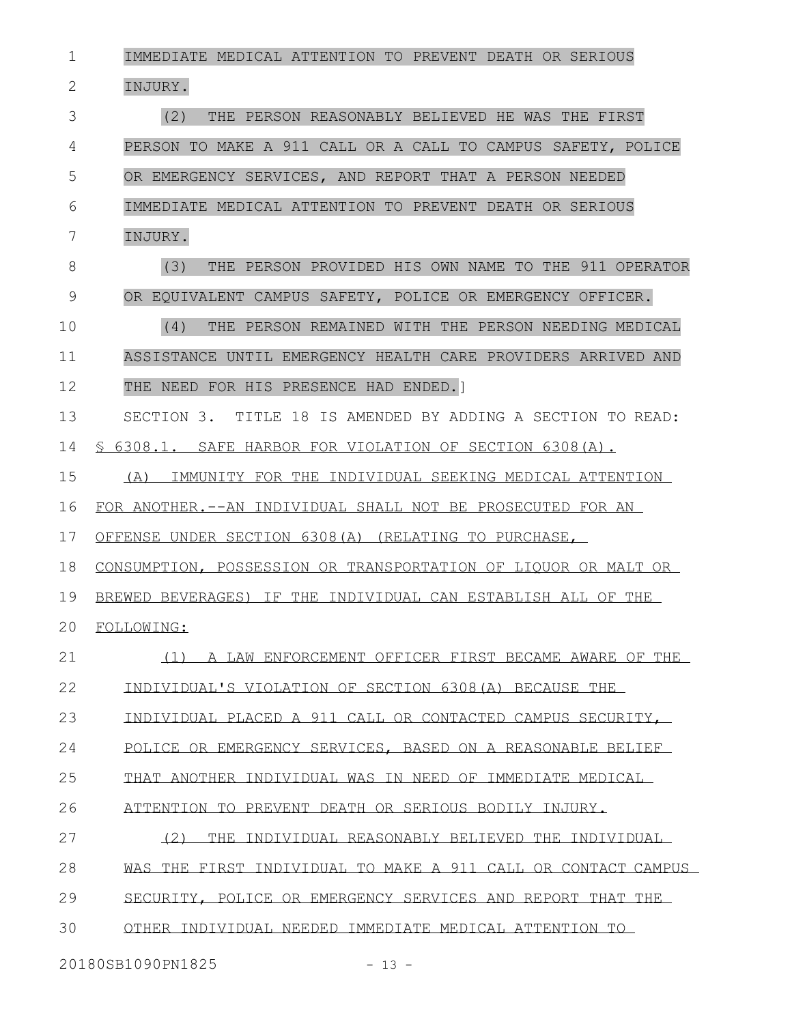IMMEDIATE MEDICAL ATTENTION TO PREVENT DEATH OR SERIOUS INJURY. (2) THE PERSON REASONABLY BELIEVED HE WAS THE FIRST PERSON TO MAKE A 911 CALL OR A CALL TO CAMPUS SAFETY, POLICE OR EMERGENCY SERVICES, AND REPORT THAT A PERSON NEEDED IMMEDIATE MEDICAL ATTENTION TO PREVENT DEATH OR SERIOUS INJURY. (3) THE PERSON PROVIDED HIS OWN NAME TO THE 911 OPERATOR OR EQUIVALENT CAMPUS SAFETY, POLICE OR EMERGENCY OFFICER. (4) THE PERSON REMAINED WITH THE PERSON NEEDING MEDICAL ASSISTANCE UNTIL EMERGENCY HEALTH CARE PROVIDERS ARRIVED AND THE NEED FOR HIS PRESENCE HAD ENDED.] SECTION 3. TITLE 18 IS AMENDED BY ADDING A SECTION TO READ: § 6308.1. SAFE HARBOR FOR VIOLATION OF SECTION 6308(A). (A) IMMUNITY FOR THE INDIVIDUAL SEEKING MEDICAL ATTENTION FOR ANOTHER.--AN INDIVIDUAL SHALL NOT BE PROSECUTED FOR AN OFFENSE UNDER SECTION 6308(A) (RELATING TO PURCHASE, CONSUMPTION, POSSESSION OR TRANSPORTATION OF LIQUOR OR MALT OR BREWED BEVERAGES) IF THE INDIVIDUAL CAN ESTABLISH ALL OF THE FOLLOWING: (1) A LAW ENFORCEMENT OFFICER FIRST BECAME AWARE OF THE INDIVIDUAL'S VIOLATION OF SECTION 6308(A) BECAUSE THE INDIVIDUAL PLACED A 911 CALL OR CONTACTED CAMPUS SECURITY, POLICE OR EMERGENCY SERVICES, BASED ON A REASONABLE BELIEF THAT ANOTHER INDIVIDUAL WAS IN NEED OF IMMEDIATE MEDICAL ATTENTION TO PREVENT DEATH OR SERIOUS BODILY INJURY. (2) THE INDIVIDUAL REASONABLY BELIEVED THE INDIVIDUAL WAS THE FIRST INDIVIDUAL TO MAKE A 911 CALL OR CONTACT CAMPUS SECURITY, POLICE OR EMERGENCY SERVICES AND REPORT THAT THE OTHER INDIVIDUAL NEEDED IMMEDIATE MEDICAL ATTENTION TO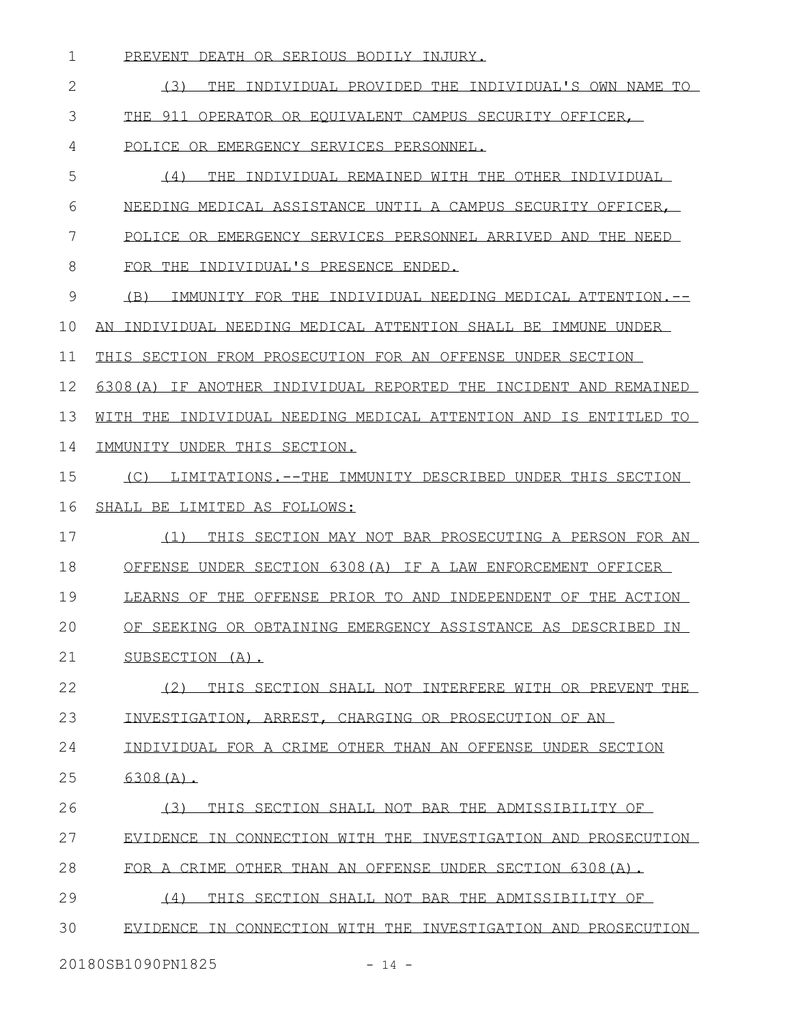- PREVENT DEATH OR SERIOUS BODILY INJURY.
- (3) THE INDIVIDUAL PROVIDED THE INDIVIDUAL'S OWN NAME TO THE 911 OPERATOR OR EQUIVALENT CAMPUS SECURITY OFFICER, POLICE OR EMERGENCY SERVICES PERSONNEL. (4) THE INDIVIDUAL REMAINED WITH THE OTHER INDIVIDUAL
- NEEDING MEDICAL ASSISTANCE UNTIL A CAMPUS SECURITY OFFICER,
- POLICE OR EMERGENCY SERVICES PERSONNEL ARRIVED AND THE NEED
- FOR THE INDIVIDUAL'S PRESENCE ENDED.
- (B) IMMUNITY FOR THE INDIVIDUAL NEEDING MEDICAL ATTENTION.--
- AN INDIVIDUAL NEEDING MEDICAL ATTENTION SHALL BE IMMUNE UNDER
- THIS SECTION FROM PROSECUTION FOR AN OFFENSE UNDER SECTION
- 6308(A) IF ANOTHER INDIVIDUAL REPORTED THE INCIDENT AND REMAINED
- WITH THE INDIVIDUAL NEEDING MEDICAL ATTENTION AND IS ENTITLED TO
- IMMUNITY UNDER THIS SECTION.
- (C) LIMITATIONS.--THE IMMUNITY DESCRIBED UNDER THIS SECTION SHALL BE LIMITED AS FOLLOWS:
- (1) THIS SECTION MAY NOT BAR PROSECUTING A PERSON FOR AN
- OFFENSE UNDER SECTION 6308(A) IF A LAW ENFORCEMENT OFFICER
- LEARNS OF THE OFFENSE PRIOR TO AND INDEPENDENT OF THE ACTION
- OF SEEKING OR OBTAINING EMERGENCY ASSISTANCE AS DESCRIBED IN
- SUBSECTION (A).
- (2) THIS SECTION SHALL NOT INTERFERE WITH OR PREVENT THE INVESTIGATION, ARREST, CHARGING OR PROSECUTION OF AN
- INDIVIDUAL FOR A CRIME OTHER THAN AN OFFENSE UNDER SECTION
- 6308(A).
- (3) THIS SECTION SHALL NOT BAR THE ADMISSIBILITY OF
- EVIDENCE IN CONNECTION WITH THE INVESTIGATION AND PROSECUTION
- FOR A CRIME OTHER THAN AN OFFENSE UNDER SECTION 6308(A).
- (4) THIS SECTION SHALL NOT BAR THE ADMISSIBILITY OF
- EVIDENCE IN CONNECTION WITH THE INVESTIGATION AND PROSECUTION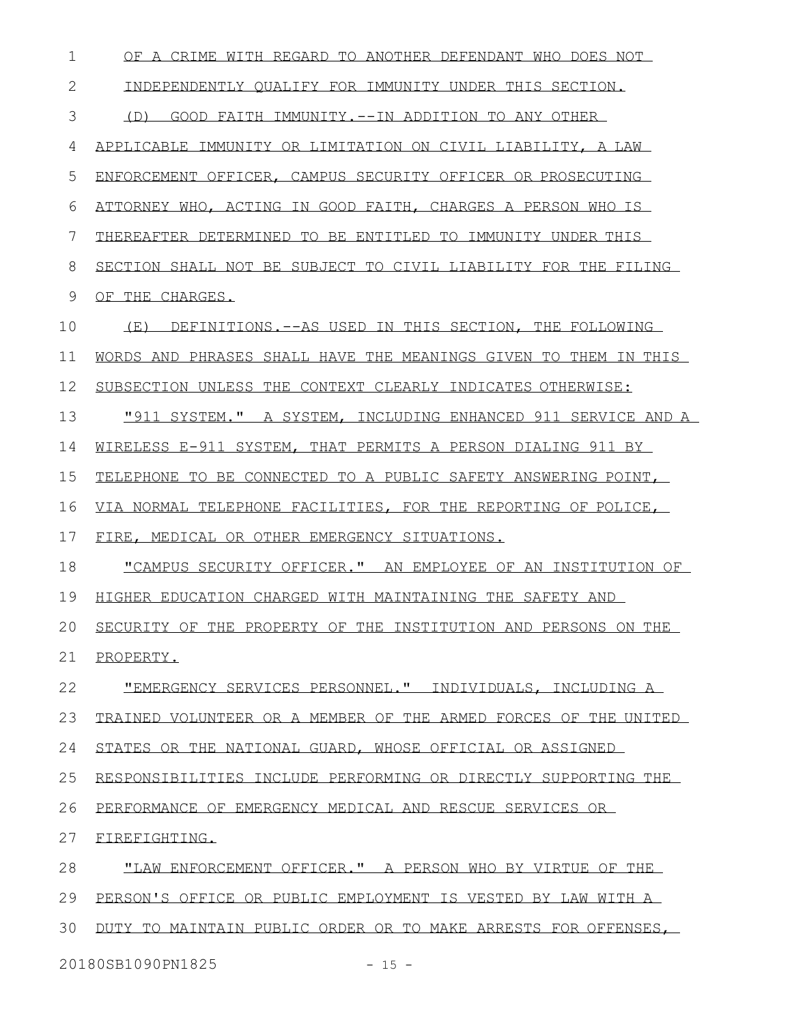| $\mathbf 1$  | OF A CRIME WITH REGARD TO ANOTHER DEFENDANT WHO DOES NOT        |
|--------------|-----------------------------------------------------------------|
| $\mathbf{2}$ | INDEPENDENTLY QUALIFY FOR IMMUNITY UNDER THIS SECTION.          |
| 3            | (D) GOOD FAITH IMMUNITY.--IN ADDITION TO ANY OTHER              |
| 4            | APPLICABLE IMMUNITY OR LIMITATION ON CIVIL LIABILITY, A LAW     |
| 5            | ENFORCEMENT OFFICER, CAMPUS SECURITY OFFICER OR PROSECUTING     |
| 6            | ATTORNEY WHO, ACTING IN GOOD FAITH, CHARGES A PERSON WHO IS     |
| 7            | THEREAFTER DETERMINED TO BE ENTITLED TO IMMUNITY UNDER THIS     |
| 8            | SECTION SHALL NOT BE SUBJECT TO CIVIL LIABILITY FOR THE FILING  |
| 9            | OF THE CHARGES.                                                 |
| 10           | (E) DEFINITIONS. -- AS USED IN THIS SECTION, THE FOLLOWING      |
| 11           | WORDS AND PHRASES SHALL HAVE THE MEANINGS GIVEN TO THEM IN THIS |
| 12           | SUBSECTION UNLESS THE CONTEXT CLEARLY INDICATES OTHERWISE:      |
| 13           | "911 SYSTEM." A SYSTEM, INCLUDING ENHANCED 911 SERVICE AND A    |
| 14           | WIRELESS E-911 SYSTEM, THAT PERMITS A PERSON DIALING 911 BY     |
| 15           | TELEPHONE TO BE CONNECTED TO A PUBLIC SAFETY ANSWERING POINT.   |
| 16           | VIA NORMAL TELEPHONE FACILITIES, FOR THE REPORTING OF POLICE,   |
| 17           | FIRE, MEDICAL OR OTHER EMERGENCY SITUATIONS.                    |
| 18           | "CAMPUS SECURITY OFFICER." AN EMPLOYEE OF AN INSTITUTION OF     |
| 19           | HIGHER EDUCATION CHARGED WITH MAINTAINING THE SAFETY AND        |
| 20           | SECURITY OF THE PROPERTY OF THE INSTITUTION AND PERSONS ON THE  |
| 21           | PROPERTY.                                                       |
| 22           | "EMERGENCY SERVICES PERSONNEL." INDIVIDUALS, INCLUDING A        |
| 23           | TRAINED VOLUNTEER OR A MEMBER OF THE ARMED FORCES OF THE UNITED |
| 24           | STATES OR THE NATIONAL GUARD, WHOSE OFFICIAL OR ASSIGNED        |
| 25           | RESPONSIBILITIES INCLUDE PERFORMING OR DIRECTLY SUPPORTING THE  |
| 26           | PERFORMANCE OF EMERGENCY MEDICAL AND RESCUE SERVICES OR         |
| 27           | FIREFIGHTING.                                                   |
| 28           | "LAW ENFORCEMENT OFFICER." A PERSON WHO BY VIRTUE OF THE        |
| 29           | PERSON'S OFFICE OR PUBLIC EMPLOYMENT IS VESTED BY LAW WITH A    |
| 30           | DUTY TO MAINTAIN PUBLIC ORDER OR TO MAKE ARRESTS FOR OFFENSES,  |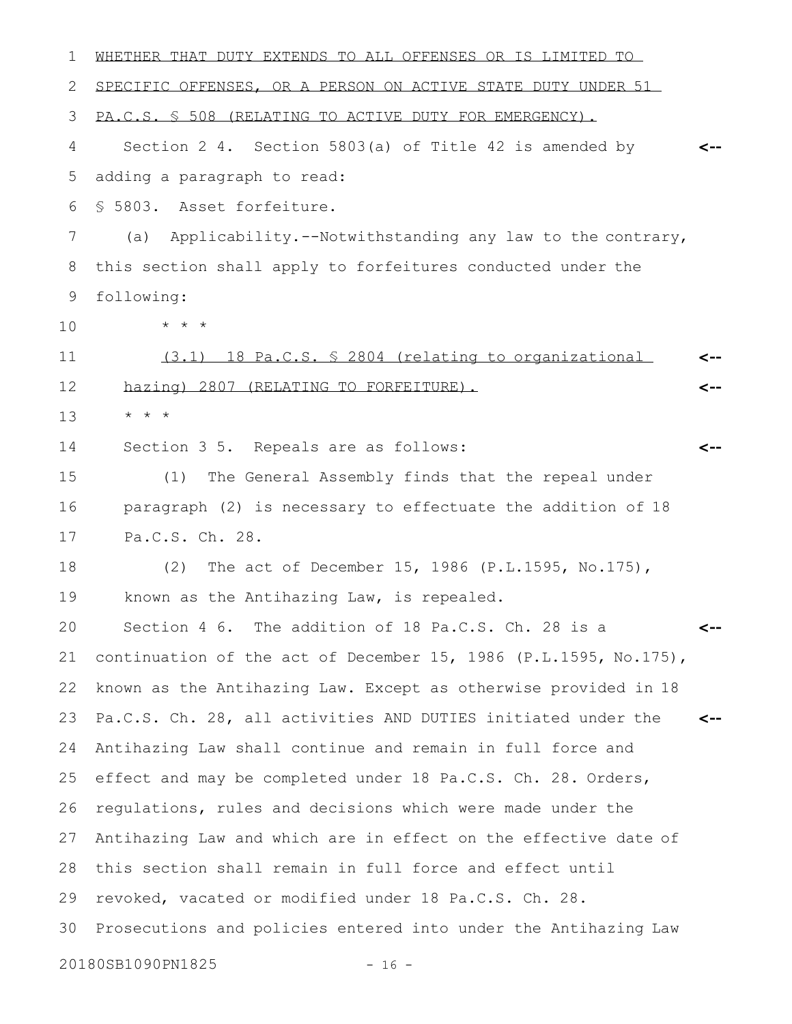| ı  | WHETHER THAT DUTY EXTENDS TO ALL OFFENSES OR IS LIMITED TO       |     |
|----|------------------------------------------------------------------|-----|
| 2  | SPECIFIC OFFENSES, OR A PERSON ON ACTIVE STATE DUTY UNDER 51     |     |
| 3  | PA.C.S. § 508 (RELATING TO ACTIVE DUTY FOR EMERGENCY).           |     |
| 4  | Section 2 4. Section 5803(a) of Title 42 is amended by           |     |
| 5  | adding a paragraph to read:                                      |     |
| 6  | § 5803. Asset forfeiture.                                        |     |
| 7  | Applicability.--Notwithstanding any law to the contrary,<br>(a)  |     |
| 8  | this section shall apply to forfeitures conducted under the      |     |
| 9  | following:                                                       |     |
| 10 | $* * *$                                                          |     |
| 11 | $(3.1)$ 18 Pa.C.S. $\frac{5}{2804}$ (relating to organizational  | <-- |
| 12 | hazing) 2807 (RELATING TO FORFEITURE).                           | <-- |
| 13 | $\star$ $\star$ $\star$                                          |     |
| 14 | Section 3 5. Repeals are as follows:                             | <-- |
| 15 | The General Assembly finds that the repeal under<br>(1)          |     |
| 16 | paragraph (2) is necessary to effectuate the addition of 18      |     |
| 17 | Pa.C.S. Ch. 28.                                                  |     |
| 18 | The act of December 15, 1986 (P.L.1595, No.175),<br>(2)          |     |
| 19 | known as the Antihazing Law, is repealed.                        |     |
| 20 | Section 4 6. The addition of 18 Pa.C.S. Ch. 28 is a              |     |
| 21 | continuation of the act of December 15, 1986 (P.L.1595, No.175), |     |
| 22 | known as the Antihazing Law. Except as otherwise provided in 18  |     |
| 23 | Pa.C.S. Ch. 28, all activities AND DUTIES initiated under the    | <-- |
| 24 | Antihazing Law shall continue and remain in full force and       |     |
| 25 | effect and may be completed under 18 Pa.C.S. Ch. 28. Orders,     |     |
| 26 | regulations, rules and decisions which were made under the       |     |
| 27 | Antihazing Law and which are in effect on the effective date of  |     |
| 28 | this section shall remain in full force and effect until         |     |
| 29 | revoked, vacated or modified under 18 Pa.C.S. Ch. 28.            |     |
| 30 | Prosecutions and policies entered into under the Antihazing Law  |     |
|    | 20180SB1090PN1825<br>$-16 -$                                     |     |